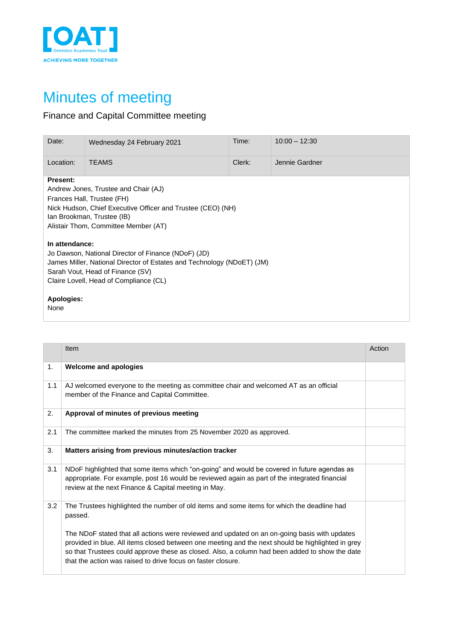

## Minutes of meeting

## Finance and Capital Committee meeting

| Date:                                                                                                                                                                                                                                       | Wednesday 24 February 2021 | Time:  | $10:00 - 12:30$ |
|---------------------------------------------------------------------------------------------------------------------------------------------------------------------------------------------------------------------------------------------|----------------------------|--------|-----------------|
| Location:                                                                                                                                                                                                                                   | <b>TEAMS</b>               | Clerk: | Jennie Gardner  |
| <b>Present:</b><br>Andrew Jones, Trustee and Chair (AJ)<br>Frances Hall, Trustee (FH)<br>Nick Hudson, Chief Executive Officer and Trustee (CEO) (NH)<br>Ian Brookman, Trustee (IB)<br>Alistair Thom, Committee Member (AT)                  |                            |        |                 |
| In attendance:<br>Jo Dawson, National Director of Finance (NDoF) (JD)<br>James Miller, National Director of Estates and Technology (NDoET) (JM)<br>Sarah Vout, Head of Finance (SV)<br>Claire Lovell, Head of Compliance (CL)<br>Apologies: |                            |        |                 |
| None                                                                                                                                                                                                                                        |                            |        |                 |

|     | Item                                                                                                                                                                                                                                                                                                                                                                | Action |
|-----|---------------------------------------------------------------------------------------------------------------------------------------------------------------------------------------------------------------------------------------------------------------------------------------------------------------------------------------------------------------------|--------|
| 1.  | <b>Welcome and apologies</b>                                                                                                                                                                                                                                                                                                                                        |        |
| 1.1 | AJ welcomed everyone to the meeting as committee chair and welcomed AT as an official<br>member of the Finance and Capital Committee.                                                                                                                                                                                                                               |        |
| 2.  | Approval of minutes of previous meeting                                                                                                                                                                                                                                                                                                                             |        |
| 2.1 | The committee marked the minutes from 25 November 2020 as approved.                                                                                                                                                                                                                                                                                                 |        |
| 3.  | Matters arising from previous minutes/action tracker                                                                                                                                                                                                                                                                                                                |        |
| 3.1 | NDoF highlighted that some items which "on-going" and would be covered in future agendas as<br>appropriate. For example, post 16 would be reviewed again as part of the integrated financial<br>review at the next Finance & Capital meeting in May.                                                                                                                |        |
| 3.2 | The Trustees highlighted the number of old items and some items for which the deadline had<br>passed.                                                                                                                                                                                                                                                               |        |
|     | The NDoF stated that all actions were reviewed and updated on an on-going basis with updates<br>provided in blue. All items closed between one meeting and the next should be highlighted in grey<br>so that Trustees could approve these as closed. Also, a column had been added to show the date<br>that the action was raised to drive focus on faster closure. |        |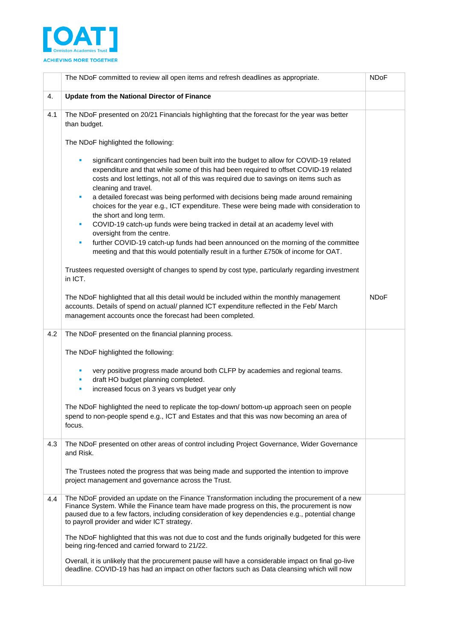

|     | The NDoF committed to review all open items and refresh deadlines as appropriate.                                                                                                                                                                                                                                                                                                                                                                                                                                                                                                                                                                                                                                                     | <b>NDoF</b> |
|-----|---------------------------------------------------------------------------------------------------------------------------------------------------------------------------------------------------------------------------------------------------------------------------------------------------------------------------------------------------------------------------------------------------------------------------------------------------------------------------------------------------------------------------------------------------------------------------------------------------------------------------------------------------------------------------------------------------------------------------------------|-------------|
| 4.  | Update from the National Director of Finance                                                                                                                                                                                                                                                                                                                                                                                                                                                                                                                                                                                                                                                                                          |             |
| 4.1 | The NDoF presented on 20/21 Financials highlighting that the forecast for the year was better<br>than budget.                                                                                                                                                                                                                                                                                                                                                                                                                                                                                                                                                                                                                         |             |
|     | The NDoF highlighted the following:                                                                                                                                                                                                                                                                                                                                                                                                                                                                                                                                                                                                                                                                                                   |             |
|     | significant contingencies had been built into the budget to allow for COVID-19 related<br>٠<br>expenditure and that while some of this had been required to offset COVID-19 related<br>costs and lost lettings, not all of this was required due to savings on items such as<br>cleaning and travel.<br>a detailed forecast was being performed with decisions being made around remaining<br>×<br>choices for the year e.g., ICT expenditure. These were being made with consideration to<br>the short and long term.<br>COVID-19 catch-up funds were being tracked in detail at an academy level with<br>×<br>oversight from the centre.<br>further COVID-19 catch-up funds had been announced on the morning of the committee<br>× |             |
|     | meeting and that this would potentially result in a further £750k of income for OAT.<br>Trustees requested oversight of changes to spend by cost type, particularly regarding investment                                                                                                                                                                                                                                                                                                                                                                                                                                                                                                                                              |             |
|     | in ICT.                                                                                                                                                                                                                                                                                                                                                                                                                                                                                                                                                                                                                                                                                                                               |             |
|     | The NDoF highlighted that all this detail would be included within the monthly management<br>accounts. Details of spend on actual/ planned ICT expenditure reflected in the Feb/ March<br>management accounts once the forecast had been completed.                                                                                                                                                                                                                                                                                                                                                                                                                                                                                   | <b>NDoF</b> |
| 4.2 | The NDoF presented on the financial planning process.                                                                                                                                                                                                                                                                                                                                                                                                                                                                                                                                                                                                                                                                                 |             |
|     | The NDoF highlighted the following:                                                                                                                                                                                                                                                                                                                                                                                                                                                                                                                                                                                                                                                                                                   |             |
|     | very positive progress made around both CLFP by academies and regional teams.<br>٠<br>draft HO budget planning completed.<br>٠<br>increased focus on 3 years vs budget year only<br>m.                                                                                                                                                                                                                                                                                                                                                                                                                                                                                                                                                |             |
|     | The NDoF highlighted the need to replicate the top-down/bottom-up approach seen on people<br>spend to non-people spend e.g., ICT and Estates and that this was now becoming an area of<br>focus.                                                                                                                                                                                                                                                                                                                                                                                                                                                                                                                                      |             |
| 4.3 | The NDoF presented on other areas of control including Project Governance, Wider Governance<br>and Risk.                                                                                                                                                                                                                                                                                                                                                                                                                                                                                                                                                                                                                              |             |
|     | The Trustees noted the progress that was being made and supported the intention to improve<br>project management and governance across the Trust.                                                                                                                                                                                                                                                                                                                                                                                                                                                                                                                                                                                     |             |
| 4.4 | The NDoF provided an update on the Finance Transformation including the procurement of a new<br>Finance System. While the Finance team have made progress on this, the procurement is now<br>paused due to a few factors, including consideration of key dependencies e.g., potential change<br>to payroll provider and wider ICT strategy.                                                                                                                                                                                                                                                                                                                                                                                           |             |
|     | The NDoF highlighted that this was not due to cost and the funds originally budgeted for this were<br>being ring-fenced and carried forward to 21/22.                                                                                                                                                                                                                                                                                                                                                                                                                                                                                                                                                                                 |             |
|     | Overall, it is unlikely that the procurement pause will have a considerable impact on final go-live<br>deadline. COVID-19 has had an impact on other factors such as Data cleansing which will now                                                                                                                                                                                                                                                                                                                                                                                                                                                                                                                                    |             |
|     |                                                                                                                                                                                                                                                                                                                                                                                                                                                                                                                                                                                                                                                                                                                                       |             |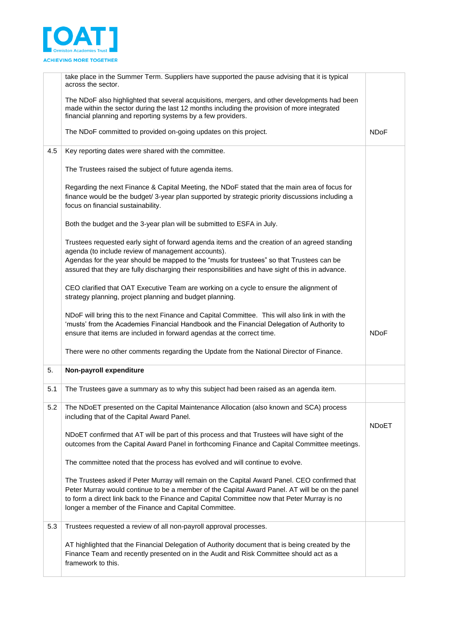

|     | take place in the Summer Term. Suppliers have supported the pause advising that it is typical<br>across the sector.                                                                                                                                                                                                                                     |              |
|-----|---------------------------------------------------------------------------------------------------------------------------------------------------------------------------------------------------------------------------------------------------------------------------------------------------------------------------------------------------------|--------------|
|     | The NDoF also highlighted that several acquisitions, mergers, and other developments had been<br>made within the sector during the last 12 months including the provision of more integrated<br>financial planning and reporting systems by a few providers.                                                                                            |              |
|     | The NDoF committed to provided on-going updates on this project.                                                                                                                                                                                                                                                                                        | <b>NDoF</b>  |
| 4.5 | Key reporting dates were shared with the committee.                                                                                                                                                                                                                                                                                                     |              |
|     | The Trustees raised the subject of future agenda items.                                                                                                                                                                                                                                                                                                 |              |
|     | Regarding the next Finance & Capital Meeting, the NDoF stated that the main area of focus for<br>finance would be the budget/ 3-year plan supported by strategic priority discussions including a<br>focus on financial sustainability.                                                                                                                 |              |
|     | Both the budget and the 3-year plan will be submitted to ESFA in July.                                                                                                                                                                                                                                                                                  |              |
|     | Trustees requested early sight of forward agenda items and the creation of an agreed standing<br>agenda (to include review of management accounts).<br>Agendas for the year should be mapped to the "musts for trustees" so that Trustees can be<br>assured that they are fully discharging their responsibilities and have sight of this in advance.   |              |
|     | CEO clarified that OAT Executive Team are working on a cycle to ensure the alignment of<br>strategy planning, project planning and budget planning.                                                                                                                                                                                                     |              |
|     | NDoF will bring this to the next Finance and Capital Committee. This will also link in with the<br>'musts' from the Academies Financial Handbook and the Financial Delegation of Authority to<br>ensure that items are included in forward agendas at the correct time.                                                                                 | <b>NDoF</b>  |
|     | There were no other comments regarding the Update from the National Director of Finance.                                                                                                                                                                                                                                                                |              |
| 5.  | Non-payroll expenditure                                                                                                                                                                                                                                                                                                                                 |              |
| 5.1 | The Trustees gave a summary as to why this subject had been raised as an agenda item.                                                                                                                                                                                                                                                                   |              |
| 5.2 | The NDoET presented on the Capital Maintenance Allocation (also known and SCA) process<br>including that of the Capital Award Panel.                                                                                                                                                                                                                    | <b>NDoET</b> |
|     | NDoET confirmed that AT will be part of this process and that Trustees will have sight of the<br>outcomes from the Capital Award Panel in forthcoming Finance and Capital Committee meetings.                                                                                                                                                           |              |
|     | The committee noted that the process has evolved and will continue to evolve.                                                                                                                                                                                                                                                                           |              |
|     | The Trustees asked if Peter Murray will remain on the Capital Award Panel. CEO confirmed that<br>Peter Murray would continue to be a member of the Capital Award Panel. AT will be on the panel<br>to form a direct link back to the Finance and Capital Committee now that Peter Murray is no<br>longer a member of the Finance and Capital Committee. |              |
| 5.3 | Trustees requested a review of all non-payroll approval processes.                                                                                                                                                                                                                                                                                      |              |
|     | AT highlighted that the Financial Delegation of Authority document that is being created by the<br>Finance Team and recently presented on in the Audit and Risk Committee should act as a                                                                                                                                                               |              |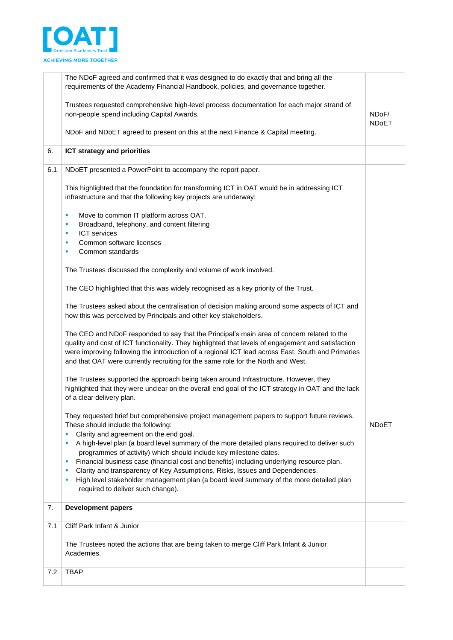

|     | The NDoF agreed and confirmed that it was designed to do exactly that and bring all the<br>requirements of the Academy Financial Handbook, policies, and governance together.                                                                                                                                                                                                             |                       |
|-----|-------------------------------------------------------------------------------------------------------------------------------------------------------------------------------------------------------------------------------------------------------------------------------------------------------------------------------------------------------------------------------------------|-----------------------|
|     | Trustees requested comprehensive high-level process documentation for each major strand of<br>non-people spend including Capital Awards.                                                                                                                                                                                                                                                  | NDoF/<br><b>NDoET</b> |
|     | NDoF and NDoET agreed to present on this at the next Finance & Capital meeting.                                                                                                                                                                                                                                                                                                           |                       |
| 6.  | <b>ICT strategy and priorities</b>                                                                                                                                                                                                                                                                                                                                                        |                       |
| 6.1 | NDoET presented a PowerPoint to accompany the report paper.                                                                                                                                                                                                                                                                                                                               |                       |
|     | This highlighted that the foundation for transforming ICT in OAT would be in addressing ICT<br>infrastructure and that the following key projects are underway:                                                                                                                                                                                                                           |                       |
|     | Move to common IT platform across OAT.<br>٠                                                                                                                                                                                                                                                                                                                                               |                       |
|     | Broadband, telephony, and content filtering<br>٠<br><b>ICT</b> services<br>ш                                                                                                                                                                                                                                                                                                              |                       |
|     | Common software licenses<br>٠                                                                                                                                                                                                                                                                                                                                                             |                       |
|     | Common standards<br>٠                                                                                                                                                                                                                                                                                                                                                                     |                       |
|     | The Trustees discussed the complexity and volume of work involved.                                                                                                                                                                                                                                                                                                                        |                       |
|     | The CEO highlighted that this was widely recognised as a key priority of the Trust.                                                                                                                                                                                                                                                                                                       |                       |
|     | The Trustees asked about the centralisation of decision making around some aspects of ICT and<br>how this was perceived by Principals and other key stakeholders.                                                                                                                                                                                                                         |                       |
|     | The CEO and NDoF responded to say that the Principal's main area of concern related to the<br>quality and cost of ICT functionality. They highlighted that levels of engagement and satisfaction<br>were improving following the introduction of a regional ICT lead across East, South and Primaries<br>and that OAT were currently recruiting for the same role for the North and West. |                       |
|     | The Trustees supported the approach being taken around Infrastructure. However, they<br>highlighted that they were unclear on the overall end goal of the ICT strategy in OAT and the lack<br>of a clear delivery plan.                                                                                                                                                                   |                       |
|     | They requested brief but comprehensive project management papers to support future reviews.<br>These should include the following:<br>Clarity and agreement on the end goal.<br>п                                                                                                                                                                                                         | <b>NDoET</b>          |
|     | A high-level plan (a board level summary of the more detailed plans required to deliver such<br>п                                                                                                                                                                                                                                                                                         |                       |
|     | programmes of activity) which should include key milestone dates.<br>Financial business case (financial cost and benefits) including underlying resource plan.<br>×                                                                                                                                                                                                                       |                       |
|     | Clarity and transparency of Key Assumptions, Risks, Issues and Dependencies.<br>п                                                                                                                                                                                                                                                                                                         |                       |
|     | High level stakeholder management plan (a board level summary of the more detailed plan<br>п<br>required to deliver such change).                                                                                                                                                                                                                                                         |                       |
| 7.  | <b>Development papers</b>                                                                                                                                                                                                                                                                                                                                                                 |                       |
| 7.1 | Cliff Park Infant & Junior                                                                                                                                                                                                                                                                                                                                                                |                       |
|     | The Trustees noted the actions that are being taken to merge Cliff Park Infant & Junior<br>Academies.                                                                                                                                                                                                                                                                                     |                       |
| 7.2 | <b>TBAP</b>                                                                                                                                                                                                                                                                                                                                                                               |                       |